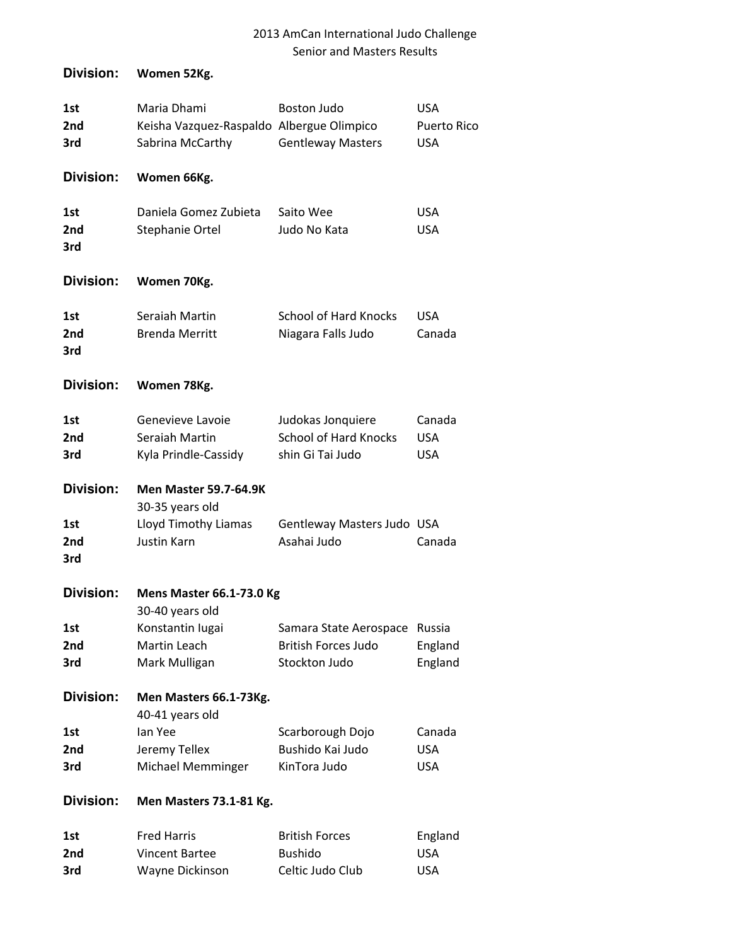| Division:                     | Women 52Kg.                                                                  |                                                                       |                                                |
|-------------------------------|------------------------------------------------------------------------------|-----------------------------------------------------------------------|------------------------------------------------|
| 1st<br>2nd<br>3rd             | Maria Dhami<br>Keisha Vazquez-Raspaldo Albergue Olimpico<br>Sabrina McCarthy | <b>Boston Judo</b><br><b>Gentleway Masters</b>                        | <b>USA</b><br><b>Puerto Rico</b><br><b>USA</b> |
| Division:                     | Women 66Kg.                                                                  |                                                                       |                                                |
| 1st<br>2nd<br>3rd             | Daniela Gomez Zubieta<br>Stephanie Ortel                                     | Saito Wee<br>Judo No Kata                                             | <b>USA</b><br><b>USA</b>                       |
| <b>Division:</b>              | Women 70Kg.                                                                  |                                                                       |                                                |
| 1st<br>2nd<br>3rd             | Seraiah Martin<br><b>Brenda Merritt</b>                                      | <b>School of Hard Knocks</b><br>Niagara Falls Judo                    | <b>USA</b><br>Canada                           |
| Division:                     | Women 78Kg.                                                                  |                                                                       |                                                |
| 1st<br>2nd<br>3rd             | Genevieve Lavoie<br>Seraiah Martin<br>Kyla Prindle-Cassidy                   | Judokas Jonquiere<br><b>School of Hard Knocks</b><br>shin Gi Tai Judo | Canada<br><b>USA</b><br><b>USA</b>             |
| Division:                     | <b>Men Master 59.7-64.9K</b><br>30-35 years old                              |                                                                       |                                                |
| 1st<br>2 <sub>nd</sub><br>3rd | Lloyd Timothy Liamas<br>Justin Karn                                          | Gentleway Masters Judo USA<br>Asahai Judo                             | Canada                                         |
| Division:                     | <b>Mens Master 66.1-73.0 Kg</b><br>30-40 years old                           |                                                                       |                                                |
| 1st<br>2nd<br>3rd             | Konstantin lugai<br>Martin Leach<br>Mark Mulligan                            | Samara State Aerospace<br><b>British Forces Judo</b><br>Stockton Judo | Russia<br>England<br>England                   |
| <b>Division:</b>              | Men Masters 66.1-73Kg.<br>40-41 years old                                    |                                                                       |                                                |
| 1st<br>2nd<br>3rd             | lan Yee<br>Jeremy Tellex<br>Michael Memminger                                | Scarborough Dojo<br>Bushido Kai Judo<br>KinTora Judo                  | Canada<br><b>USA</b><br><b>USA</b>             |
| Division:                     | Men Masters 73.1-81 Kg.                                                      |                                                                       |                                                |
| 1st<br>2nd                    | <b>Fred Harris</b><br><b>Vincent Bartee</b>                                  | <b>British Forces</b><br><b>Bushido</b>                               | England<br><b>USA</b>                          |

**3rd Wayne Dickinson Celtic Judo Club USA**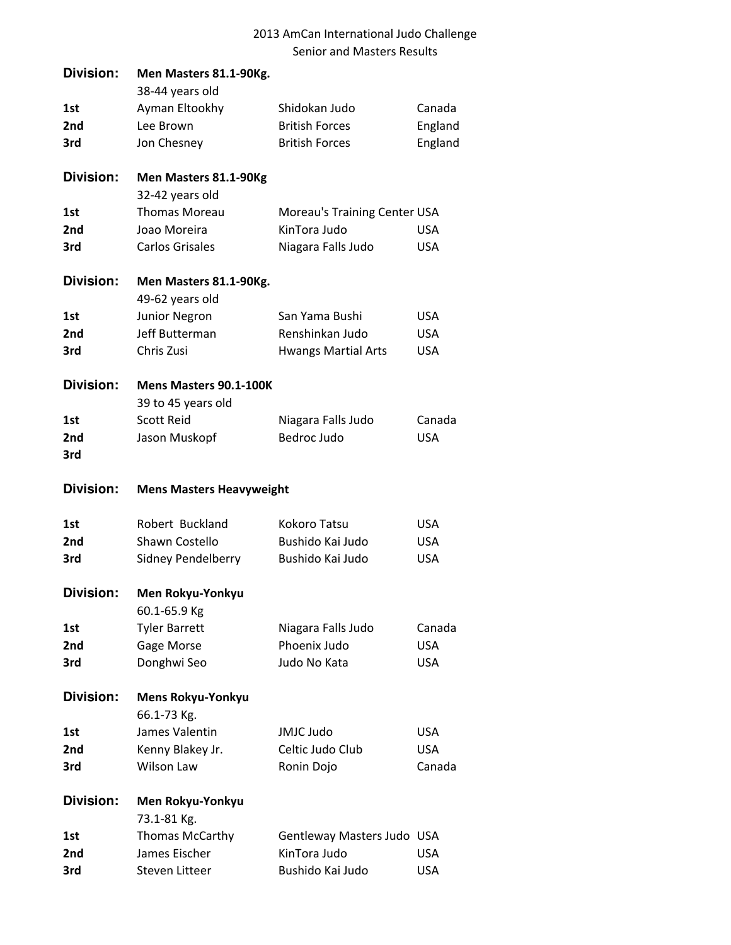| Division:        | Men Masters 81.1-90Kg.          |                              |            |
|------------------|---------------------------------|------------------------------|------------|
|                  | 38-44 years old                 |                              |            |
| 1st              | Ayman Eltookhy                  | Shidokan Judo                | Canada     |
| 2nd              | Lee Brown                       | <b>British Forces</b>        | England    |
| 3rd              | Jon Chesney                     | <b>British Forces</b>        | England    |
| <b>Division:</b> | Men Masters 81.1-90Kg           |                              |            |
|                  | 32-42 years old                 |                              |            |
| 1st              | <b>Thomas Moreau</b>            | Moreau's Training Center USA |            |
| 2 <sub>nd</sub>  | Joao Moreira                    | KinTora Judo                 | <b>USA</b> |
| 3rd              | <b>Carlos Grisales</b>          | Niagara Falls Judo           | <b>USA</b> |
| <b>Division:</b> | Men Masters 81.1-90Kg.          |                              |            |
|                  | 49-62 years old                 |                              |            |
| 1st              | Junior Negron                   | San Yama Bushi               | <b>USA</b> |
| 2nd              | Jeff Butterman                  | Renshinkan Judo              | <b>USA</b> |
| 3rd              | Chris Zusi                      | <b>Hwangs Martial Arts</b>   | <b>USA</b> |
| <b>Division:</b> | Mens Masters 90.1-100K          |                              |            |
|                  | 39 to 45 years old              |                              |            |
| 1st              | <b>Scott Reid</b>               | Niagara Falls Judo           | Canada     |
| 2 <sub>nd</sub>  | Jason Muskopf                   | <b>Bedroc Judo</b>           | <b>USA</b> |
| 3rd              |                                 |                              |            |
|                  | <b>Mens Masters Heavyweight</b> |                              |            |
| <b>Division:</b> |                                 |                              |            |
| 1st              | Robert Buckland                 | Kokoro Tatsu                 | <b>USA</b> |
| 2nd              | Shawn Costello                  | Bushido Kai Judo             | <b>USA</b> |
| 3rd              | <b>Sidney Pendelberry</b>       | Bushido Kai Judo             | <b>USA</b> |
| Division:        | Men Rokyu-Yonkyu                |                              |            |
|                  | 60.1-65.9 Kg                    |                              |            |
| 1st              | <b>Tyler Barrett</b>            | Niagara Falls Judo           | Canada     |
| 2nd              | Gage Morse                      | Phoenix Judo                 | <b>USA</b> |
| 3rd              | Donghwi Seo                     | Judo No Kata                 | <b>USA</b> |
| Division:        | <b>Mens Rokyu-Yonkyu</b>        |                              |            |
|                  | 66.1-73 Kg.                     |                              |            |
| 1st              | James Valentin                  | JMJC Judo                    | <b>USA</b> |
| 2nd              | Kenny Blakey Jr.                | Celtic Judo Club             | <b>USA</b> |
| 3rd              | <b>Wilson Law</b>               | Ronin Dojo                   | Canada     |
| <b>Division:</b> | Men Rokyu-Yonkyu                |                              |            |
|                  | 73.1-81 Kg.                     |                              |            |
| 1st              | Thomas McCarthy                 | Gentleway Masters Judo USA   |            |
| 2nd              | James Eischer                   | KinTora Judo                 | <b>USA</b> |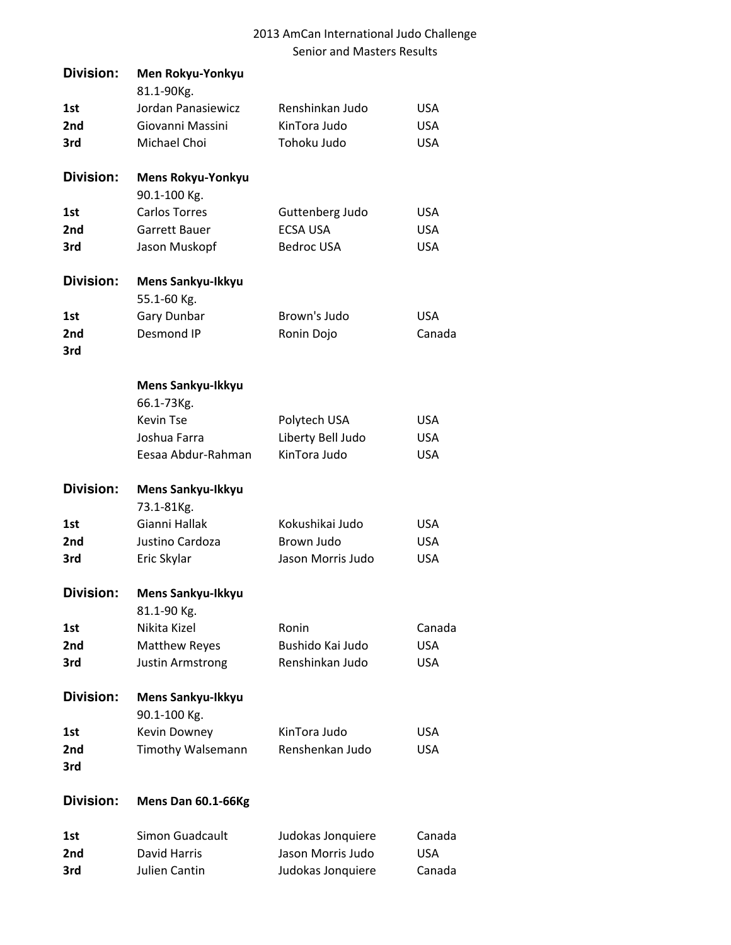| <b>Division:</b> | Men Rokyu-Yonkyu<br>81.1-90Kg.           |                   |            |
|------------------|------------------------------------------|-------------------|------------|
| 1st              | Jordan Panasiewicz                       | Renshinkan Judo   | <b>USA</b> |
| 2nd              | Giovanni Massini                         | KinTora Judo      | <b>USA</b> |
| 3rd              | Michael Choi                             | Tohoku Judo       | <b>USA</b> |
| <b>Division:</b> | <b>Mens Rokyu-Yonkyu</b><br>90.1-100 Kg. |                   |            |
| 1st              | <b>Carlos Torres</b>                     | Guttenberg Judo   | <b>USA</b> |
| 2nd              | Garrett Bauer                            | <b>ECSA USA</b>   | <b>USA</b> |
| 3rd              | Jason Muskopf                            | <b>Bedroc USA</b> | <b>USA</b> |
| <b>Division:</b> | Mens Sankyu-Ikkyu                        |                   |            |
|                  | 55.1-60 Kg.                              |                   |            |
| 1st              | Gary Dunbar                              | Brown's Judo      | <b>USA</b> |
| 2nd<br>3rd       | Desmond IP                               | Ronin Dojo        | Canada     |
|                  | Mens Sankyu-Ikkyu                        |                   |            |
|                  | 66.1-73Kg.                               |                   |            |
|                  | <b>Kevin Tse</b>                         | Polytech USA      | <b>USA</b> |
|                  | Joshua Farra                             | Liberty Bell Judo | <b>USA</b> |
|                  | Eesaa Abdur-Rahman                       | KinTora Judo      | <b>USA</b> |
| <b>Division:</b> | Mens Sankyu-Ikkyu                        |                   |            |
|                  | 73.1-81Kg.                               |                   |            |
| 1st              | Gianni Hallak                            | Kokushikai Judo   | <b>USA</b> |
| 2nd              | Justino Cardoza                          | Brown Judo        | <b>USA</b> |
| 3rd              | Eric Skylar                              | Jason Morris Judo | <b>USA</b> |
| Division:        | Mens Sankyu-Ikkyu                        |                   |            |
|                  | 81.1-90 Kg.                              |                   |            |
| 1st              | Nikita Kizel                             | Ronin             | Canada     |
| 2nd              | <b>Matthew Reyes</b>                     | Bushido Kai Judo  | <b>USA</b> |
| 3rd              | <b>Justin Armstrong</b>                  | Renshinkan Judo   | <b>USA</b> |
| <b>Division:</b> | Mens Sankyu-Ikkyu<br>90.1-100 Kg.        |                   |            |
| 1st              | Kevin Downey                             | KinTora Judo      | <b>USA</b> |
| 2nd<br>3rd       | Timothy Walsemann                        | Renshenkan Judo   | USA        |
| <b>Division:</b> | Mens Dan 60.1-66Kg                       |                   |            |
| 1st              | Simon Guadcault                          | Judokas Jonquiere | Canada     |
| 2nd              | David Harris                             | Jason Morris Judo | <b>USA</b> |
| 3rd              | Julien Cantin                            | Judokas Jonquiere | Canada     |